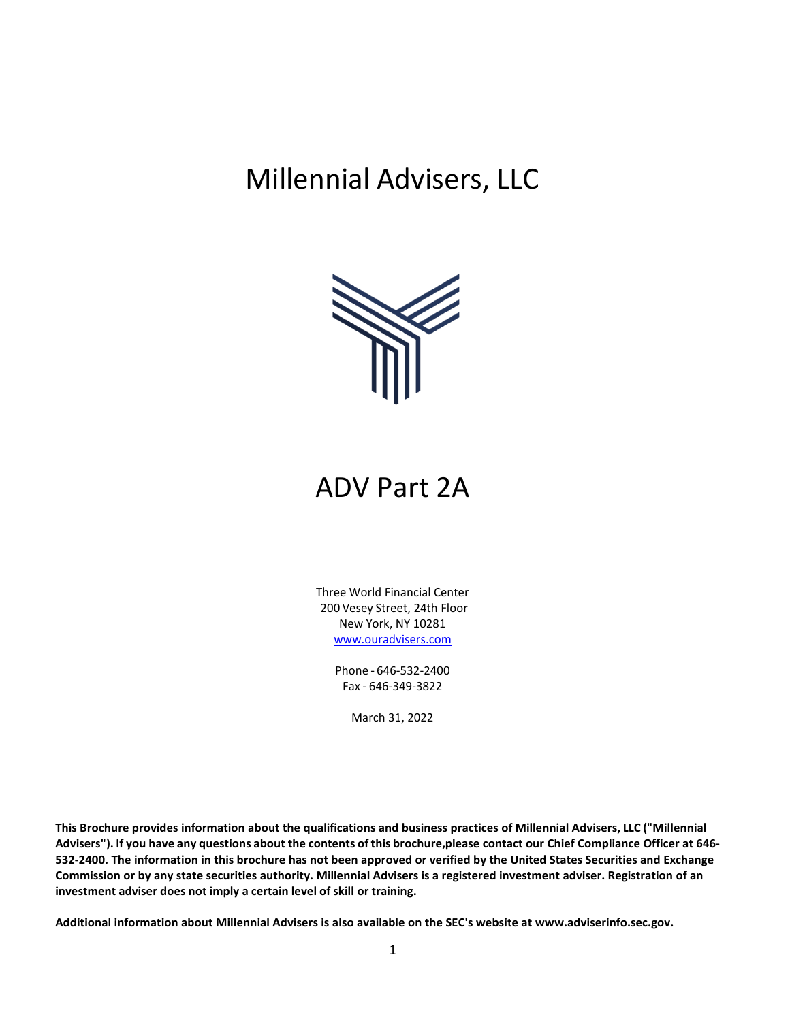# Millennial Advisers, LLC



# ADV Part 2A

Three World Financial Center 200 Vesey Street, 24th Floor New York, NY 10281 [www.ouradvisers.com](http://www.ouradvisers.com/) 

> Phone - 646-532-2400 Fax - 646-349-3822

> > March 31, 2022

**This Brochure provides information about the qualifications and business practices of Millennial Advisers, LLC ("Millennial Advisers"). If you have any questions about the contents of this brochure,please contact our Chief Compliance Officer at 646- 532-2400. The information in this brochure has not been approved or verified by the United States Securities and Exchange Commission or by any state securities authority. Millennial Advisers is a registered investment adviser. Registration of an investment adviser does not imply a certain level of skill or training.**

**Additional information about Millennial Advisers is also available on the SEC's website at [www.adviserinfo.sec.gov.](http://www.adviserinfo.sec.gov/)**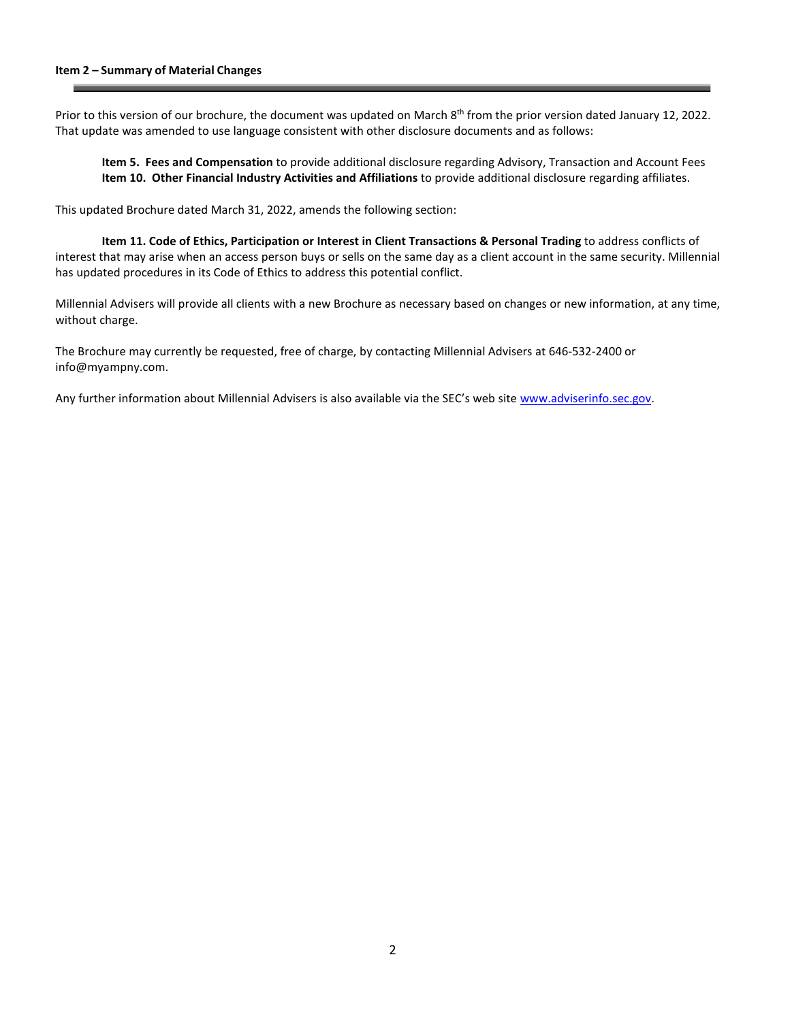Prior to this version of our brochure, the document was updated on March 8<sup>th</sup> from the prior version dated January 12, 2022. That update was amended to use language consistent with other disclosure documents and as follows:

**Item 5. Fees and Compensation** to provide additional disclosure regarding Advisory, Transaction and Account Fees **Item 10. Other Financial Industry Activities and Affiliations** to provide additional disclosure regarding affiliates.

This updated Brochure dated March 31, 2022, amends the following section:

**Item 11. Code of Ethics, Participation or Interest in Client Transactions & Personal Trading** to address conflicts of interest that may arise when an access person buys or sells on the same day as a client account in the same security. Millennial has updated procedures in its Code of Ethics to address this potential conflict.

Millennial Advisers will provide all clients with a new Brochure as necessary based on changes or new information, at any time, without charge.

The Brochure may currently be requested, free of charge, by contacting Millennial Advisers at 646-532-2400 or [info@myampny.com.](mailto:info@myampny.com)

Any further information about Millennial Advisers is also available via the SEC's web site [www.adviserinfo.sec.gov.](http://www.adviserinfo.sec.gov/)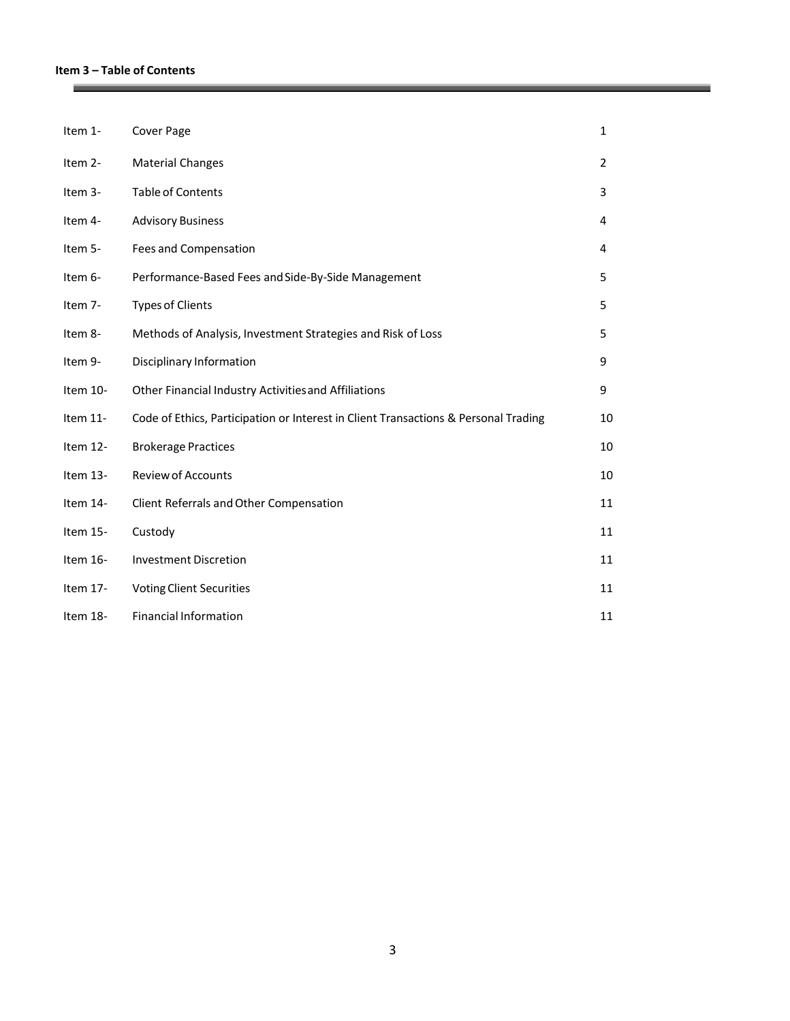# **Item 3 – Table of Contents**

**Contract Contract Contract** 

| Item 1-  | Cover Page                                                                          | $\mathbf{1}$   |
|----------|-------------------------------------------------------------------------------------|----------------|
| Item 2-  | <b>Material Changes</b>                                                             | $\overline{2}$ |
| Item 3-  | <b>Table of Contents</b>                                                            | 3              |
| Item 4-  | <b>Advisory Business</b>                                                            | 4              |
| Item 5-  | Fees and Compensation                                                               | 4              |
| Item 6-  | Performance-Based Fees and Side-By-Side Management                                  | 5              |
| Item 7-  | <b>Types of Clients</b>                                                             | 5              |
| Item 8-  | Methods of Analysis, Investment Strategies and Risk of Loss                         | 5              |
| Item 9-  | Disciplinary Information                                                            | 9              |
| Item 10- | Other Financial Industry Activities and Affiliations                                | 9              |
| Item 11- | Code of Ethics, Participation or Interest in Client Transactions & Personal Trading | 10             |
| Item 12- | <b>Brokerage Practices</b>                                                          | 10             |
| Item 13- | <b>Review of Accounts</b>                                                           | 10             |
| Item 14- | Client Referrals and Other Compensation                                             | 11             |
| Item 15- | Custody                                                                             | 11             |
| Item 16- | <b>Investment Discretion</b>                                                        | 11             |
| Item 17- | <b>Voting Client Securities</b>                                                     | 11             |
| Item 18- | <b>Financial Information</b>                                                        | 11             |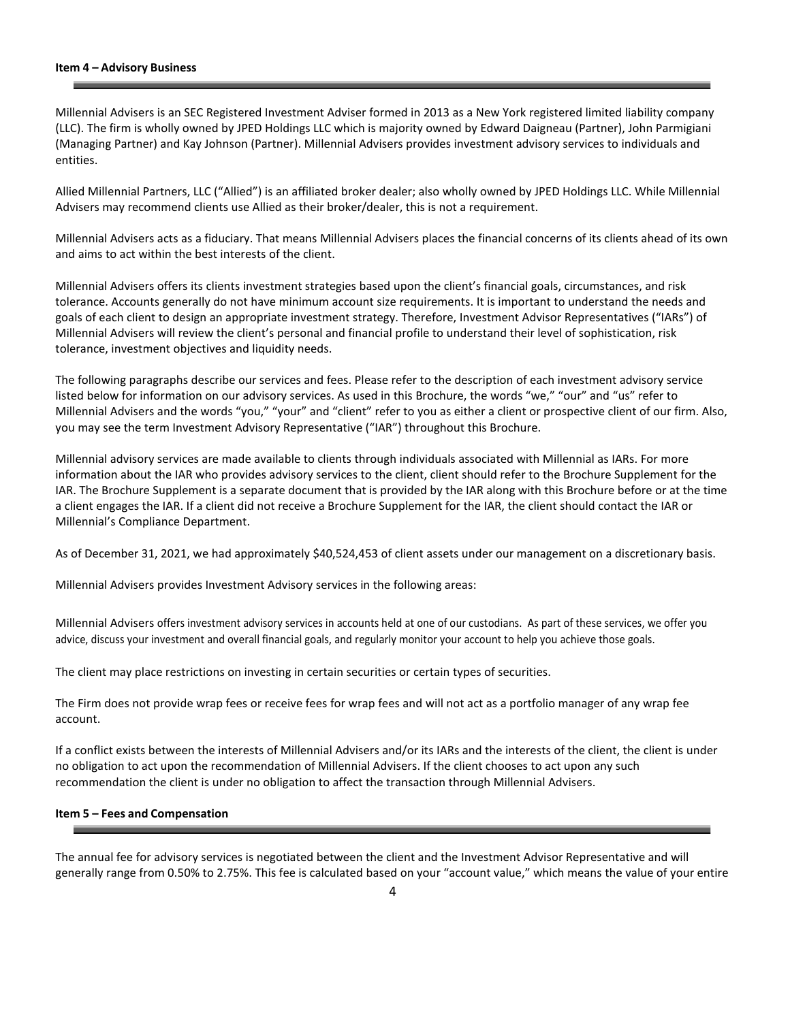#### **Item 4 – Advisory Business**

Millennial Advisers is an SEC Registered Investment Adviser formed in 2013 as a New York registered limited liability company (LLC). The firm is wholly owned by JPED Holdings LLC which is majority owned by Edward Daigneau (Partner), John Parmigiani (Managing Partner) and Kay Johnson (Partner). Millennial Advisers provides investment advisory services to individuals and entities.

Allied Millennial Partners, LLC ("Allied") is an affiliated broker dealer; also wholly owned by JPED Holdings LLC. While Millennial Advisers may recommend clients use Allied as their broker/dealer, this is not a requirement.

Millennial Advisers acts as a fiduciary. That means Millennial Advisers places the financial concerns of its clients ahead of its own and aims to act within the best interests of the client.

Millennial Advisers offers its clients investment strategies based upon the client's financial goals, circumstances, and risk tolerance. Accounts generally do not have minimum account size requirements. It is important to understand the needs and goals of each client to design an appropriate investment strategy. Therefore, Investment Advisor Representatives ("IARs") of Millennial Advisers will review the client's personal and financial profile to understand their level of sophistication, risk tolerance, investment objectives and liquidity needs.

The following paragraphs describe our services and fees. Please refer to the description of each investment advisory service listed below for information on our advisory services. As used in this Brochure, the words "we," "our" and "us" refer to Millennial Advisers and the words "you," "your" and "client" refer to you as either a client or prospective client of our firm. Also, you may see the term Investment Advisory Representative ("IAR") throughout this Brochure.

Millennial advisory services are made available to clients through individuals associated with Millennial as IARs. For more information about the IAR who provides advisory services to the client, client should refer to the Brochure Supplement for the IAR. The Brochure Supplement is a separate document that is provided by the IAR along with this Brochure before or at the time a client engages the IAR. If a client did not receive a Brochure Supplement for the IAR, the client should contact the IAR or Millennial's Compliance Department.

As of December 31, 2021, we had approximately \$40,524,453 of client assets under our management on a discretionary basis.

Millennial Advisers provides Investment Advisory services in the following areas:

Millennial Advisers offers investment advisory services in accounts held at one of our custodians. As part of these services, we offer you advice, discuss your investment and overall financial goals, and regularly monitor your account to help you achieve those goals.

The client may place restrictions on investing in certain securities or certain types of securities.

The Firm does not provide wrap fees or receive fees for wrap fees and will not act as a portfolio manager of any wrap fee account.

If a conflict exists between the interests of Millennial Advisers and/or its IARs and the interests of the client, the client is under no obligation to act upon the recommendation of Millennial Advisers. If the client chooses to act upon any such recommendation the client is under no obligation to affect the transaction through Millennial Advisers.

## **Item 5 – Fees and Compensation**

The annual fee for advisory services is negotiated between the client and the Investment Advisor Representative and will generally range from 0.50% to 2.75%. This fee is calculated based on your "account value," which means the value of your entire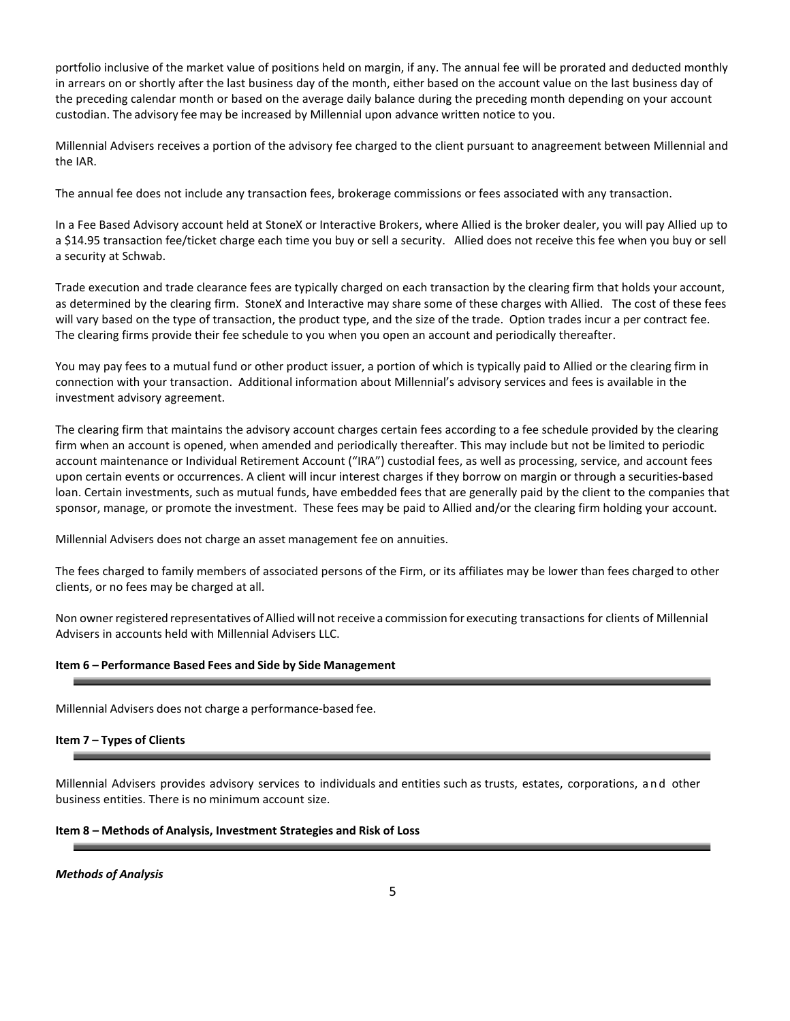portfolio inclusive of the market value of positions held on margin, if any. The annual fee will be prorated and deducted monthly in arrears on or shortly after the last business day of the month, either based on the account value on the last business day of the preceding calendar month or based on the average daily balance during the preceding month depending on your account custodian. The advisory fee may be increased by Millennial upon advance written notice to you.

Millennial Advisers receives a portion of the advisory fee charged to the client pursuant to anagreement between Millennial and the IAR.

The annual fee does not include any transaction fees, brokerage commissions or fees associated with any transaction.

In a Fee Based Advisory account held at StoneX or Interactive Brokers, where Allied is the broker dealer, you will pay Allied up to a \$14.95 transaction fee/ticket charge each time you buy or sell a security. Allied does not receive this fee when you buy or sell a security at Schwab.

Trade execution and trade clearance fees are typically charged on each transaction by the clearing firm that holds your account, as determined by the clearing firm. StoneX and Interactive may share some of these charges with Allied. The cost of these fees will vary based on the type of transaction, the product type, and the size of the trade. Option trades incur a per contract fee. The clearing firms provide their fee schedule to you when you open an account and periodically thereafter.

You may pay fees to a mutual fund or other product issuer, a portion of which is typically paid to Allied or the clearing firm in connection with your transaction. Additional information about Millennial's advisory services and fees is available in the investment advisory agreement.

The clearing firm that maintains the advisory account charges certain fees according to a fee schedule provided by the clearing firm when an account is opened, when amended and periodically thereafter. This may include but not be limited to periodic account maintenance or Individual Retirement Account ("IRA") custodial fees, as well as processing, service, and account fees upon certain events or occurrences. A client will incur interest charges if they borrow on margin or through a securities-based loan. Certain investments, such as mutual funds, have embedded fees that are generally paid by the client to the companies that sponsor, manage, or promote the investment. These fees may be paid to Allied and/or the clearing firm holding your account.

Millennial Advisers does not charge an asset management fee on annuities.

The fees charged to family members of associated persons of the Firm, or its affiliates may be lower than fees charged to other clients, or no fees may be charged at all.

Non owner registered representatives ofAllied will notreceive a commission for executing transactions for clients of Millennial Advisers in accounts held with Millennial Advisers LLC.

### **Item 6 – Performance Based Fees and Side by Side Management**

Millennial Advisers does not charge a performance-based fee.

## **Item 7 – Types of Clients**

Millennial Advisers provides advisory services to individuals and entities such as trusts, estates, corporations, and other business entities. There is no minimum account size.

### **Item 8 – Methods of Analysis, Investment Strategies and Risk of Loss**

*Methods of Analysis*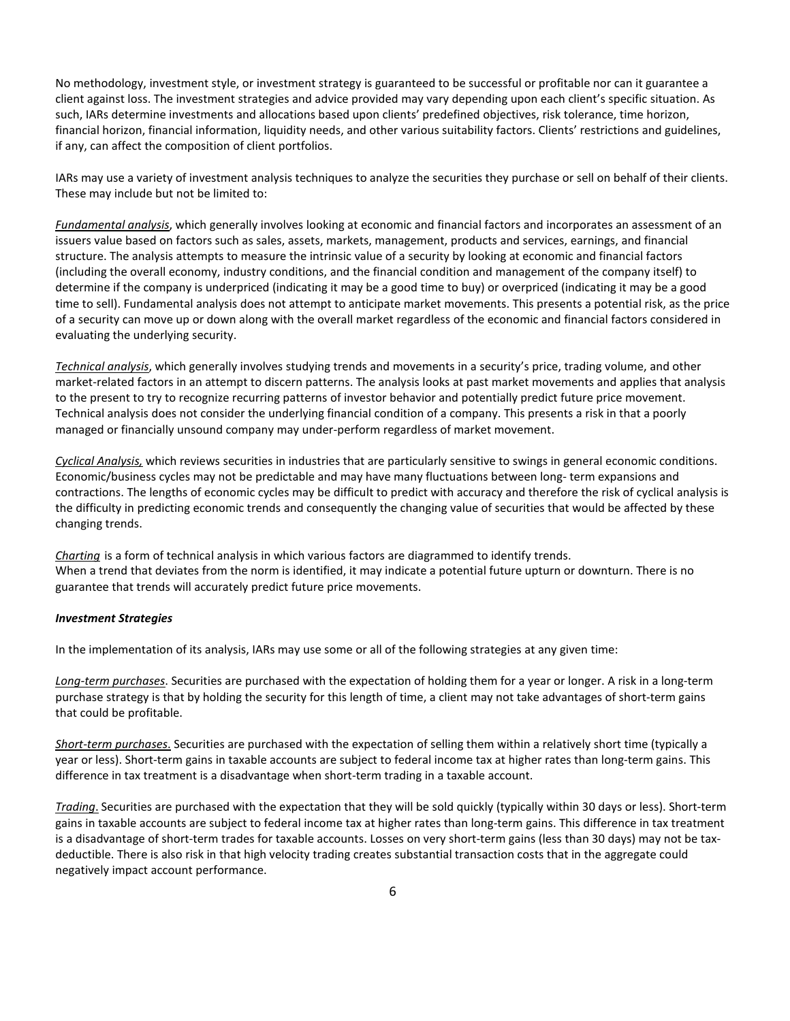No methodology, investment style, or investment strategy is guaranteed to be successful or profitable nor can it guarantee a client against loss. The investment strategies and advice provided may vary depending upon each client's specific situation. As such, IARs determine investments and allocations based upon clients' predefined objectives, risk tolerance, time horizon, financial horizon, financial information, liquidity needs, and other various suitability factors. Clients' restrictions and guidelines, if any, can affect the composition of client portfolios.

IARs may use a variety of investment analysis techniques to analyze the securities they purchase or sell on behalf of their clients. These may include but not be limited to:

*Fundamental analysis*, which generally involves looking at economic and financial factors and incorporates an assessment of an issuers value based on factors such as sales, assets, markets, management, products and services, earnings, and financial structure. The analysis attempts to measure the intrinsic value of a security by looking at economic and financial factors (including the overall economy, industry conditions, and the financial condition and management of the company itself) to determine if the company is underpriced (indicating it may be a good time to buy) or overpriced (indicating it may be a good time to sell). Fundamental analysis does not attempt to anticipate market movements. This presents a potential risk, as the price of a security can move up or down along with the overall market regardless of the economic and financial factors considered in evaluating the underlying security.

*Technical analysis*, which generally involves studying trends and movements in a security's price, trading volume, and other market-related factors in an attempt to discern patterns. The analysis looks at past market movements and applies that analysis to the present to try to recognize recurring patterns of investor behavior and potentially predict future price movement. Technical analysis does not consider the underlying financial condition of a company. This presents a risk in that a poorly managed or financially unsound company may under-perform regardless of market movement.

*Cyclical Analysis,* which reviews securities in industries that are particularly sensitive to swings in general economic conditions. Economic/business cycles may not be predictable and may have many fluctuations between long- term expansions and contractions. The lengths of economic cycles may be difficult to predict with accuracy and therefore the risk of cyclical analysis is the difficulty in predicting economic trends and consequently the changing value of securities that would be affected by these changing trends.

*Charting* is a form of technical analysis in which various factors are diagrammed to identify trends. When a trend that deviates from the norm is identified, it may indicate a potential future upturn or downturn. There is no guarantee that trends will accurately predict future price movements.

#### *Investment Strategies*

In the implementation of its analysis, IARs may use some or all of the following strategies at any given time:

*Long-term purchases*. Securities are purchased with the expectation of holding them for a year or longer. A risk in a long-term purchase strategy is that by holding the security for this length of time, a client may not take advantages of short-term gains that could be profitable.

*Short-term purchases*. Securities are purchased with the expectation of selling them within a relatively short time (typically a year or less). Short-term gains in taxable accounts are subject to federal income tax at higher rates than long-term gains. This difference in tax treatment is a disadvantage when short-term trading in a taxable account.

*Trading*. Securities are purchased with the expectation that they will be sold quickly (typically within 30 days or less). Short-term gains in taxable accounts are subject to federal income tax at higher rates than long-term gains. This difference in tax treatment is a disadvantage of short-term trades for taxable accounts. Losses on very short-term gains (less than 30 days) may not be taxdeductible. There is also risk in that high velocity trading creates substantial transaction costs that in the aggregate could negatively impact account performance.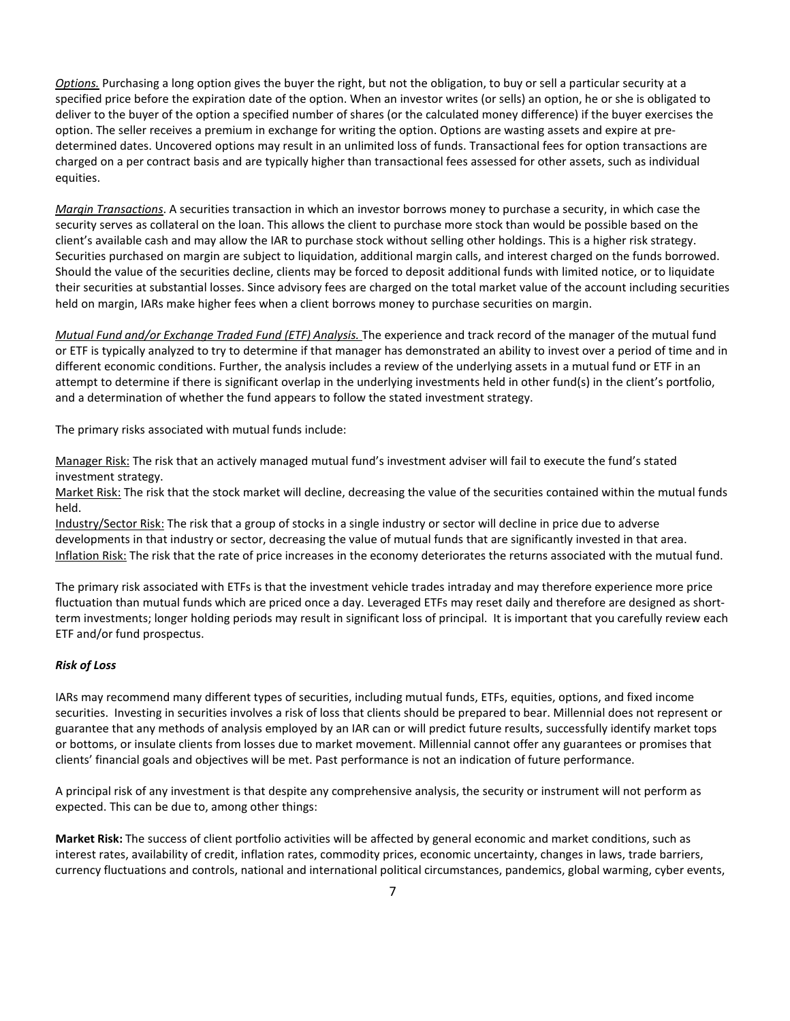*Options.* Purchasing a long option gives the buyer the right, but not the obligation, to buy or sell a particular security at a specified price before the expiration date of the option. When an investor writes (or sells) an option, he or she is obligated to deliver to the buyer of the option a specified number of shares (or the calculated money difference) if the buyer exercises the option. The seller receives a premium in exchange for writing the option. Options are wasting assets and expire at predetermined dates. Uncovered options may result in an unlimited loss of funds. Transactional fees for option transactions are charged on a per contract basis and are typically higher than transactional fees assessed for other assets, such as individual equities.

*Margin Transactions*. A securities transaction in which an investor borrows money to purchase a security, in which case the security serves as collateral on the loan. This allows the client to purchase more stock than would be possible based on the client's available cash and may allow the IAR to purchase stock without selling other holdings. This is a higher risk strategy. Securities purchased on margin are subject to liquidation, additional margin calls, and interest charged on the funds borrowed. Should the value of the securities decline, clients may be forced to deposit additional funds with limited notice, or to liquidate their securities at substantial losses. Since advisory fees are charged on the total market value of the account including securities held on margin, IARs make higher fees when a client borrows money to purchase securities on margin.

*Mutual Fund and/or Exchange Traded Fund (ETF) Analysis.* The experience and track record of the manager of the mutual fund or ETF is typically analyzed to try to determine if that manager has demonstrated an ability to invest over a period of time and in different economic conditions. Further, the analysis includes a review of the underlying assets in a mutual fund or ETF in an attempt to determine if there is significant overlap in the underlying investments held in other fund(s) in the client's portfolio, and a determination of whether the fund appears to follow the stated investment strategy.

The primary risks associated with mutual funds include:

Manager Risk: The risk that an actively managed mutual fund's investment adviser will fail to execute the fund's stated investment strategy.

Market Risk: The risk that the stock market will decline, decreasing the value of the securities contained within the mutual funds held.

Industry/Sector Risk: The risk that a group of stocks in a single industry or sector will decline in price due to adverse developments in that industry or sector, decreasing the value of mutual funds that are significantly invested in that area. Inflation Risk: The risk that the rate of price increases in the economy deteriorates the returns associated with the mutual fund.

The primary risk associated with ETFs is that the investment vehicle trades intraday and may therefore experience more price fluctuation than mutual funds which are priced once a day. Leveraged ETFs may reset daily and therefore are designed as shortterm investments; longer holding periods may result in significant loss of principal. It is important that you carefully review each ETF and/or fund prospectus.

## *Risk of Loss*

IARs may recommend many different types of securities, including mutual funds, ETFs, equities, options, and fixed income securities. Investing in securities involves a risk of loss that clients should be prepared to bear. Millennial does not represent or guarantee that any methods of analysis employed by an IAR can or will predict future results, successfully identify market tops or bottoms, or insulate clients from losses due to market movement. Millennial cannot offer any guarantees or promises that clients' financial goals and objectives will be met. Past performance is not an indication of future performance.

A principal risk of any investment is that despite any comprehensive analysis, the security or instrument will not perform as expected. This can be due to, among other things:

**Market Risk:** The success of client portfolio activities will be affected by general economic and market conditions, such as interest rates, availability of credit, inflation rates, commodity prices, economic uncertainty, changes in laws, trade barriers, currency fluctuations and controls, national and international political circumstances, pandemics, global warming, cyber events,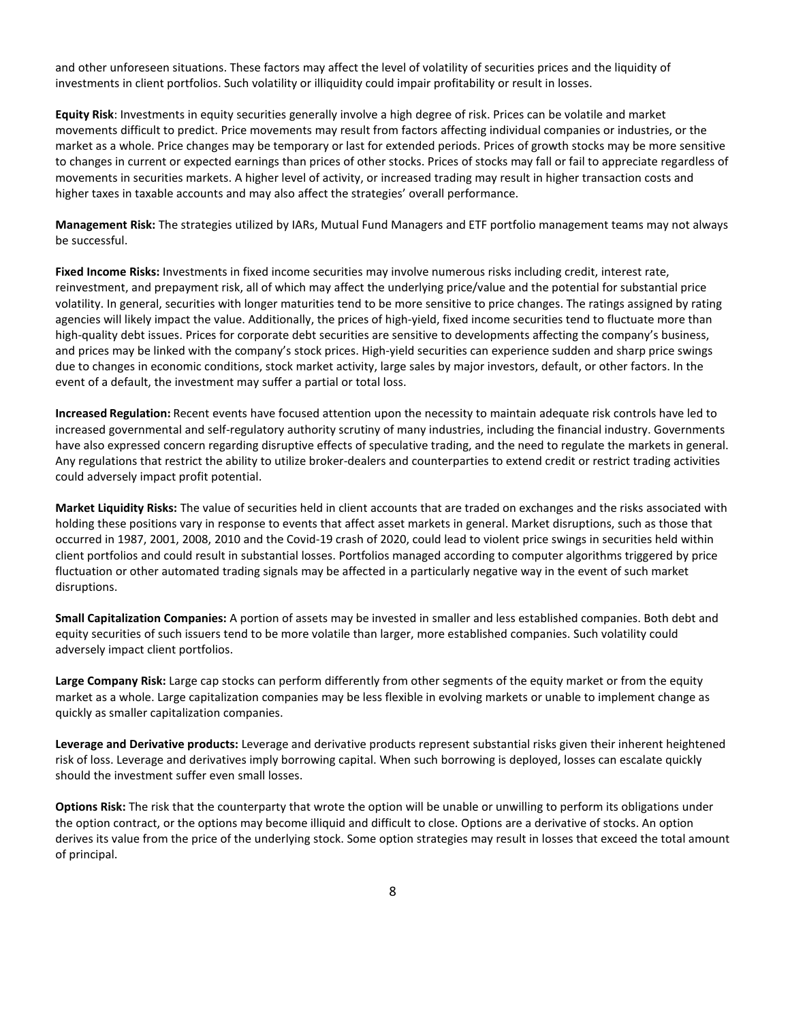and other unforeseen situations. These factors may affect the level of volatility of securities prices and the liquidity of investments in client portfolios. Such volatility or illiquidity could impair profitability or result in losses.

**Equity Risk**: Investments in equity securities generally involve a high degree of risk. Prices can be volatile and market movements difficult to predict. Price movements may result from factors affecting individual companies or industries, or the market as a whole. Price changes may be temporary or last for extended periods. Prices of growth stocks may be more sensitive to changes in current or expected earnings than prices of other stocks. Prices of stocks may fall or fail to appreciate regardless of movements in securities markets. A higher level of activity, or increased trading may result in higher transaction costs and higher taxes in taxable accounts and may also affect the strategies' overall performance.

**Management Risk:** The strategies utilized by IARs, Mutual Fund Managers and ETF portfolio management teams may not always be successful.

**Fixed Income Risks:** Investments in fixed income securities may involve numerous risks including credit, interest rate, reinvestment, and prepayment risk, all of which may affect the underlying price/value and the potential for substantial price volatility. In general, securities with longer maturities tend to be more sensitive to price changes. The ratings assigned by rating agencies will likely impact the value. Additionally, the prices of high-yield, fixed income securities tend to fluctuate more than high-quality debt issues. Prices for corporate debt securities are sensitive to developments affecting the company's business, and prices may be linked with the company's stock prices. High-yield securities can experience sudden and sharp price swings due to changes in economic conditions, stock market activity, large sales by major investors, default, or other factors. In the event of a default, the investment may suffer a partial or total loss.

**Increased Regulation:** Recent events have focused attention upon the necessity to maintain adequate risk controls have led to increased governmental and self-regulatory authority scrutiny of many industries, including the financial industry. Governments have also expressed concern regarding disruptive effects of speculative trading, and the need to regulate the markets in general. Any regulations that restrict the ability to utilize broker-dealers and counterparties to extend credit or restrict trading activities could adversely impact profit potential.

**Market Liquidity Risks:** The value of securities held in client accounts that are traded on exchanges and the risks associated with holding these positions vary in response to events that affect asset markets in general. Market disruptions, such as those that occurred in 1987, 2001, 2008, 2010 and the Covid-19 crash of 2020, could lead to violent price swings in securities held within client portfolios and could result in substantial losses. Portfolios managed according to computer algorithms triggered by price fluctuation or other automated trading signals may be affected in a particularly negative way in the event of such market disruptions.

**Small Capitalization Companies:** A portion of assets may be invested in smaller and less established companies. Both debt and equity securities of such issuers tend to be more volatile than larger, more established companies. Such volatility could adversely impact client portfolios.

**Large Company Risk:** Large cap stocks can perform differently from other segments of the equity market or from the equity market as a whole. Large capitalization companies may be less flexible in evolving markets or unable to implement change as quickly as smaller capitalization companies.

**Leverage and Derivative products:** Leverage and derivative products represent substantial risks given their inherent heightened risk of loss. Leverage and derivatives imply borrowing capital. When such borrowing is deployed, losses can escalate quickly should the investment suffer even small losses.

**Options Risk:** The risk that the counterparty that wrote the option will be unable or unwilling to perform its obligations under the option contract, or the options may become illiquid and difficult to close. Options are a derivative of stocks. An option derives its value from the price of the underlying stock. Some option strategies may result in losses that exceed the total amount of principal.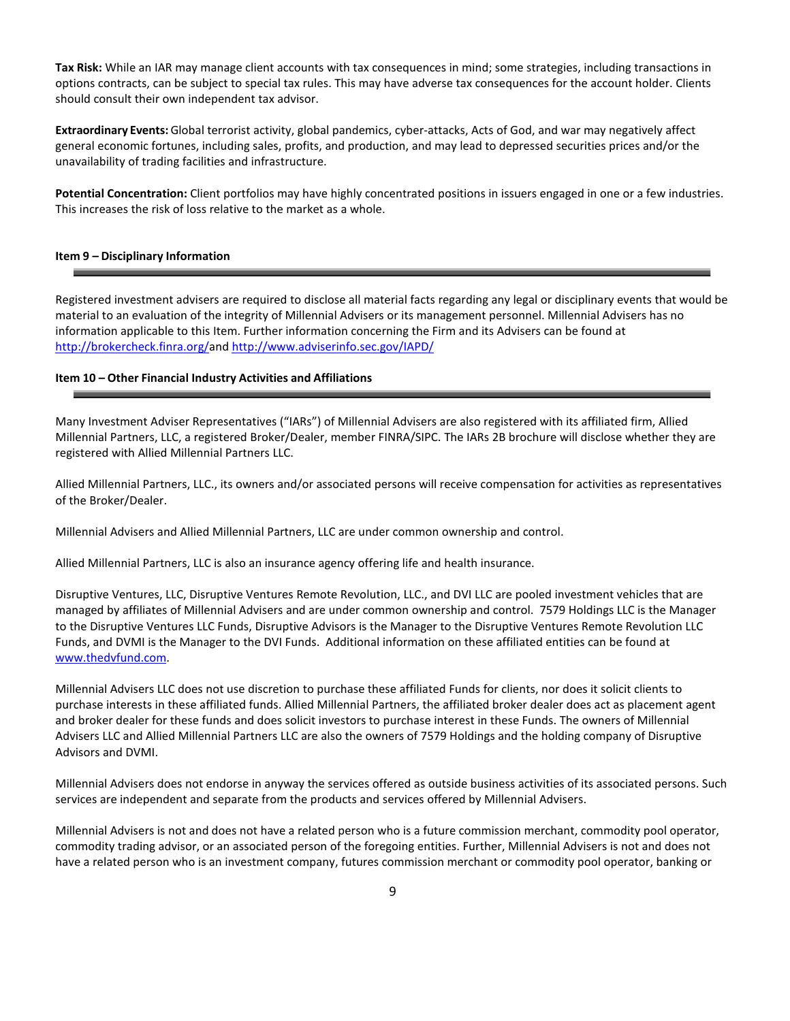**Tax Risk:** While an IAR may manage client accounts with tax consequences in mind; some strategies, including transactions in options contracts, can be subject to special tax rules. This may have adverse tax consequences for the account holder. Clients should consult their own independent tax advisor.

**Extraordinary Events:** Global terrorist activity, global pandemics, cyber-attacks, Acts of God, and war may negatively affect general economic fortunes, including sales, profits, and production, and may lead to depressed securities prices and/or the unavailability of trading facilities and infrastructure.

**Potential Concentration:** Client portfolios may have highly concentrated positions in issuers engaged in one or a few industries. This increases the risk of loss relative to the market as a whole.

### **Item 9 – Disciplinary Information**

Registered investment advisers are required to disclose all material facts regarding any legal or disciplinary events that would be material to an evaluation of the integrity of Millennial Advisers or its management personnel. Millennial Advisers has no information applicable to this Item. Further information concerning the Firm and its Advisers can be found at [http://brokercheck.finra.org/a](http://brokercheck.finra.org/)nd <http://www.adviserinfo.sec.gov/IAPD/>

#### **Item 10 – Other Financial Industry Activities and Affiliations**

Many Investment Adviser Representatives ("IARs") of Millennial Advisers are also registered with its affiliated firm, Allied Millennial Partners, LLC, a registered Broker/Dealer, member FINRA/SIPC. The IARs 2B brochure will disclose whether they are registered with Allied Millennial Partners LLC.

Allied Millennial Partners, LLC., its owners and/or associated persons will receive compensation for activities as representatives of the Broker/Dealer.

Millennial Advisers and Allied Millennial Partners, LLC are under common ownership and control.

Allied Millennial Partners, LLC is also an insurance agency offering life and health insurance.

Disruptive Ventures, LLC, Disruptive Ventures Remote Revolution, LLC., and DVI LLC are pooled investment vehicles that are managed by affiliates of Millennial Advisers and are under common ownership and control. 7579 Holdings LLC is the Manager to the Disruptive Ventures LLC Funds, Disruptive Advisors is the Manager to the Disruptive Ventures Remote Revolution LLC Funds, and DVMI is the Manager to the DVI Funds. Additional information on these affiliated entities can be found at [www.thedvfund.com.](http://www.thedvfund.com/)

Millennial Advisers LLC does not use discretion to purchase these affiliated Funds for clients, nor does it solicit clients to purchase interests in these affiliated funds. Allied Millennial Partners, the affiliated broker dealer does act as placement agent and broker dealer for these funds and does solicit investors to purchase interest in these Funds. The owners of Millennial Advisers LLC and Allied Millennial Partners LLC are also the owners of 7579 Holdings and the holding company of Disruptive Advisors and DVMI.

Millennial Advisers does not endorse in anyway the services offered as outside business activities of its associated persons. Such services are independent and separate from the products and services offered by Millennial Advisers.

Millennial Advisers is not and does not have a related person who is a future commission merchant, commodity pool operator, commodity trading advisor, or an associated person of the foregoing entities. Further, Millennial Advisers is not and does not have a related person who is an investment company, futures commission merchant or commodity pool operator, banking or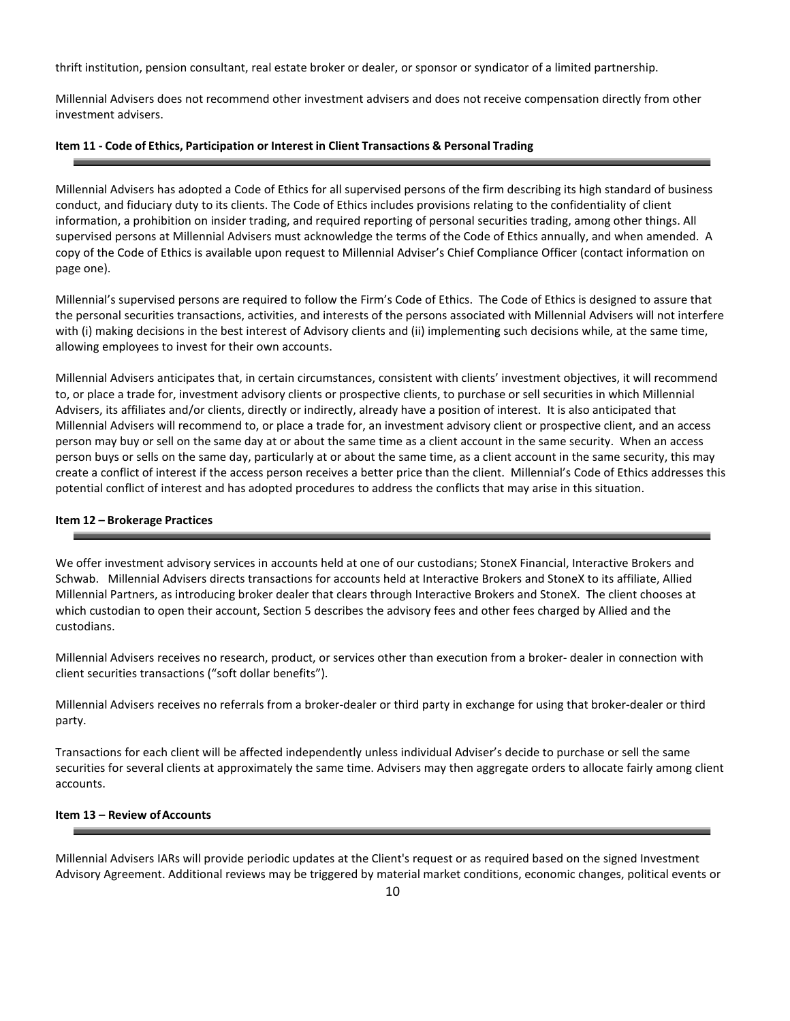thrift institution, pension consultant, real estate broker or dealer, or sponsor or syndicator of a limited partnership.

Millennial Advisers does not recommend other investment advisers and does not receive compensation directly from other investment advisers.

#### **Item 11 - Code of Ethics, Participation or Interest in Client Transactions & Personal Trading**

Millennial Advisers has adopted a Code of Ethics for all supervised persons of the firm describing its high standard of business conduct, and fiduciary duty to its clients. The Code of Ethics includes provisions relating to the confidentiality of client information, a prohibition on insider trading, and required reporting of personal securities trading, among other things. All supervised persons at Millennial Advisers must acknowledge the terms of the Code of Ethics annually, and when amended. A copy of the Code of Ethics is available upon request to Millennial Adviser's Chief Compliance Officer (contact information on page one).

Millennial's supervised persons are required to follow the Firm's Code of Ethics. The Code of Ethics is designed to assure that the personal securities transactions, activities, and interests of the persons associated with Millennial Advisers will not interfere with (i) making decisions in the best interest of Advisory clients and (ii) implementing such decisions while, at the same time, allowing employees to invest for their own accounts.

Millennial Advisers anticipates that, in certain circumstances, consistent with clients' investment objectives, it will recommend to, or place a trade for, investment advisory clients or prospective clients, to purchase or sell securities in which Millennial Advisers, its affiliates and/or clients, directly or indirectly, already have a position of interest. It is also anticipated that Millennial Advisers will recommend to, or place a trade for, an investment advisory client or prospective client, and an access person may buy or sell on the same day at or about the same time as a client account in the same security. When an access person buys or sells on the same day, particularly at or about the same time, as a client account in the same security, this may create a conflict of interest if the access person receives a better price than the client. Millennial's Code of Ethics addresses this potential conflict of interest and has adopted procedures to address the conflicts that may arise in this situation.

#### **Item 12 – Brokerage Practices**

We offer investment advisory services in accounts held at one of our custodians; StoneX Financial, Interactive Brokers and Schwab. Millennial Advisers directs transactions for accounts held at Interactive Brokers and StoneX to its affiliate, Allied Millennial Partners, as introducing broker dealer that clears through Interactive Brokers and StoneX. The client chooses at which custodian to open their account, Section 5 describes the advisory fees and other fees charged by Allied and the custodians.

Millennial Advisers receives no research, product, or services other than execution from a broker- dealer in connection with client securities transactions ("soft dollar benefits").

Millennial Advisers receives no referrals from a broker-dealer or third party in exchange for using that broker-dealer or third party.

Transactions for each client will be affected independently unless individual Adviser's decide to purchase or sell the same securities for several clients at approximately the same time. Advisers may then aggregate orders to allocate fairly among client accounts.

## **Item 13 – Review ofAccounts**

Millennial Advisers IARs will provide periodic updates at the Client's request or as required based on the signed Investment Advisory Agreement. Additional reviews may be triggered by material market conditions, economic changes, political events or